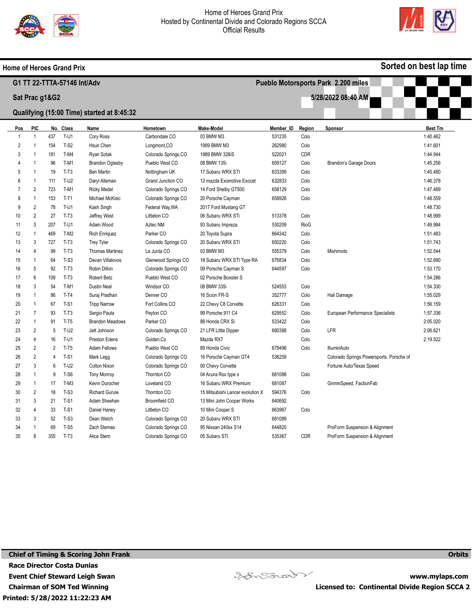

Home of Heroes Grand Prix



Sorted on best lap time

|                                      |                |                |           | G1 TT 22-TTTA-57146 Int/Adv                |                      |                                  |           | Pueblo Motorsports Park 2.200 miles |                                          |                |  |  |
|--------------------------------------|----------------|----------------|-----------|--------------------------------------------|----------------------|----------------------------------|-----------|-------------------------------------|------------------------------------------|----------------|--|--|
| 5/28/2022 08:40 AM<br>Sat Prac g1&G2 |                |                |           |                                            |                      |                                  |           |                                     |                                          |                |  |  |
|                                      |                |                |           | Qualifying (15:00 Time) started at 8:45:32 |                      |                                  |           |                                     |                                          |                |  |  |
|                                      |                |                |           |                                            |                      |                                  |           |                                     |                                          |                |  |  |
| <u>Pos</u>                           | PIC            |                | No. Class | Name                                       | Hometown             | <b>Make-Model</b>                | Member ID | Region                              | Sponsor                                  | <b>Best Tm</b> |  |  |
| -1                                   | -1             | 437            | $T-U1$    | Cory Ross                                  | Carbondale CO        | 03 BMW M3                        | 531235    | Colo                                |                                          | 1:40.462       |  |  |
| $\overline{c}$                       | $\overline{1}$ | 154            | $T-S2$    | Hsun Chen                                  | Longmont, CO         | 1989 BMW M3                      | 262980    | Colo                                |                                          | 1:41.601       |  |  |
| 3                                    | $\overline{1}$ | 181            | T-M4      | Ryan Sotak                                 | Colorado Springs, CO | 1989 BMW 328iS                   | 522021    | CDR                                 |                                          | 1:44.944       |  |  |
| 4                                    | $\overline{1}$ | 96             | T-M1      | <b>Brandon Oglesby</b>                     | Pueblo West CO       | 08 BMW 135i                      | 659127    | Colo                                | <b>Brandon's Garage Doors</b>            | 1:45.256       |  |  |
| 5                                    | $\overline{1}$ | 19             | $T-T3$    | Ben Martin                                 | Nottingham UK        | 17 Subaru WRX STI                | 633399    | Colo                                |                                          | 1:45.480       |  |  |
| 6                                    | $\overline{1}$ | 111            | $T-U2$    | Daryl Alleman                              | Grand Junction CO    | 12 mazda Exomotive Exocet        | 632833    | Colo                                |                                          | 1:46.378       |  |  |
| $\overline{7}$                       | $\overline{2}$ | 723            | $T-M1$    | <b>Ricky Medel</b>                         | Colorado Springs CO  | 14 Ford Shelby GT500             | 658129    | Colo                                |                                          | 1:47.489       |  |  |
| 8                                    | $\overline{1}$ | 153            | $T-T1$    | <b>Michael McKisic</b>                     | Colorado Springs CO  | 20 Porsche Cayman                | 658926    | Colo                                |                                          | 1:48.559       |  |  |
| 9                                    | $\overline{2}$ | 78             | $T-U1$    | Kash Singh                                 | Federal Way, WA      | 2017 Ford Mustang GT             |           |                                     |                                          | 1:48.730       |  |  |
| 10                                   | $\overline{2}$ | 27             | $T-T3$    | Jeffrey West                               | Littleton CO         | 06 Subaru WRX STi                | 513378    | Colo                                |                                          | 1:48.999       |  |  |
| 11                                   | $\mathbf{3}$   | 207            | $T-U1$    | Adam Wood                                  | Aztec NM             | 93 Subaru Impreza                | 530209    | RioG                                |                                          | 1:49.994       |  |  |
| 12                                   | $\overline{1}$ | 469            | $T-M2$    | <b>Rich Enriquez</b>                       | Parker CO            | 20 Toyota Supra                  | 664342    | Colo                                |                                          | 1:51.483       |  |  |
| 13                                   | 3              | 727            | $T-T3$    | <b>Trey Tyler</b>                          | Colorado Springs CO  | 20 Subaru WRX STI                | 650220    | Colo                                |                                          | 1:51.743       |  |  |
| 14                                   | $\overline{4}$ | 99             | $T-T3$    | <b>Thomas Martinez</b>                     | La Junta CO          | 03 BMW M3                        | 555379    | Colo                                | Mishimoto                                | 1:52.544       |  |  |
| 15                                   | $\overline{1}$ | 64             | $T-S3$    | Devan Villalovos                           | Glenwood Springs CO  | 18 Subaru WRX STI Type RA        | 676834    | Colo                                |                                          | 1:52.690       |  |  |
| 16                                   | 5              | 92             | $T-T3$    | Robin Dillon                               | Colorado Springs CO  | 09 Porsche Cayman S              | 644597    | Colo                                |                                          | 1:53.170       |  |  |
| 17                                   | 6              | 109            | $T-T3$    | <b>Robert Betz</b>                         | Pueblo West CO       | 02 Porsche Boxster S             |           |                                     |                                          | 1:54.286       |  |  |
| 18                                   | 3              | 54             | $T-M1$    | <b>Dustin Neal</b>                         | Windsor CO           | 08 BMW 335i                      | 524553    | Colo                                |                                          | 1:54.330       |  |  |
| 19                                   | $\overline{1}$ | 86             | $T-T4$    | Suraj Pradhan                              | Denver <sub>CO</sub> | 16 Scion FR-S                    | 352777    | Colo                                | Hail Damage                              | 1:55.029       |  |  |
| 20                                   | $\overline{1}$ | 67             | $T-S1$    | <b>Tripp Narrow</b>                        | Fort Collins CO      | 22 Chevy C8 Corvette             | 626331    | Colo                                |                                          | 1:56.159       |  |  |
| 21                                   | $\overline{7}$ | 93             | $T-T3$    | Sergio Paula                               | Peyton CO            | 99 Porsche 911 C4                | 629552    | Colo                                | European Performance Specialists         | 1:57.336       |  |  |
| 22                                   | $\mathbf{1}$   | 91             | $T-T5$    | <b>Brandon Meadows</b>                     | Parker CO            | 88 Honda CRX Si                  | 533422    | Colo                                |                                          | 2:05.020       |  |  |
| 23                                   | $\overline{2}$ | 5              | $T-U2$    | Jett Johnson                               | Colorado Springs CO  | 21 LFR Little Dipper             | 680388    | Colo                                | LFR                                      | 2:06.621       |  |  |
| 24                                   | $\overline{4}$ | 16             | $T-U1$    | Preston Edens                              | Golden, Co           | Mazda RX7                        |           | Colo                                |                                          | 2:19.522       |  |  |
| 25                                   | 2              | 2              | $T-T5$    | <b>Adam Fellows</b>                        | Pueblo West CO       | 89 Honda Civic                   | 679496    | Colo                                | <b>IlluminAuto</b>                       |                |  |  |
| 26                                   | $\overline{2}$ | $\overline{4}$ | $T-S1$    | Mark Legg                                  | Colorado Springs CO  | 16 Porsche Cayman GT4            | 536259    |                                     | Colorado Springs Powersports. Porsche of |                |  |  |
| 27                                   | 3              | 6              | T-U2      | Colton Nixon                               | Colorado Springs CO  | 00 Chevy Corvette                |           |                                     | Fortune Auto/Texas Speed                 |                |  |  |
| 28                                   | $\overline{1}$ | 9              | $T-S6$    | <b>Tony Monroy</b>                         | Thornton CO          | 04 Acura Rsx type s              | 681088    | Colo                                |                                          |                |  |  |
| 29                                   | $\overline{1}$ | 17             | $T-M3$    | Kevin Durocher                             | Loveland CO          | 16 Subaru WRX Premium            | 681087    |                                     | GrimmSpeed, FactionFab                   |                |  |  |
| 30                                   | 2              | 18             | $T-S3$    | <b>Richard Gurule</b>                      | Thornton CO          | 15 Mitsubishi Lancer evolution X | 594376    | Colo                                |                                          |                |  |  |
| 31                                   | 3              | 21             | $T-S1$    | Adam Sheehan                               | Broomfield CO        | 13 Mini John Cooper Works        | 640692    |                                     |                                          |                |  |  |
| 32                                   | 4              | 33             | $T-S1$    | Daniel Haney                               | Littleton CO         | 10 Mini Cooper S                 | 663967    | Colo                                |                                          |                |  |  |
| 33                                   | 3              | 52             | $T-S3$    | Dean Welch                                 | Colorado Springs CO  | 20 Subaru WRX STI                | 681089    |                                     |                                          |                |  |  |
| 34                                   |                | 69             | $T-S5$    | Zach Stemas                                | Colorado Springs CO  | 95 Nissan 240sx S14              | 644820    |                                     | ProForm Suspension & Alignment           |                |  |  |
| 35                                   | 8              | 355            | $T-T3$    | Alice Stern                                | Colorado Springs CO  | 05 Subaru STi                    | 535367    | <b>CDR</b>                          | ProForm Suspension & Alignment           |                |  |  |

Printed: 5/28/2022 11:22:23 AM Chief of Timing & Scoring John Frank Race Director Costa Dunias Event Chief Steward Leigh Swan Chairman of SOM Ted Winning



www.mylaps.com Licensed to: Continental Divide Region SCCA 2

**Orbits**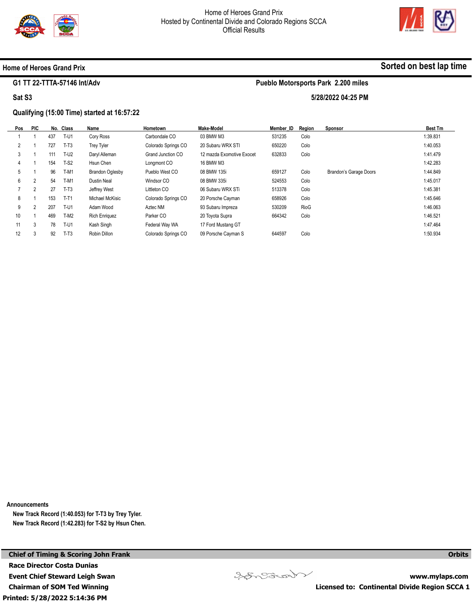

Pueblo Motorsports Park 2.200 miles

5/28/2022 04:25 PM



#### Home of Heroes Grand Prix

#### G1 TT 22-TTTA-57146 Int/Adv

Sat S3

# Qualifying (15:00 Time) started at 16:57:22

| <b>PIC</b>     |     |             | Name                   | Hometown            | <b>Make-Model</b>         | Member ID | Region | Sponsor                | <b>Best Tm</b> |
|----------------|-----|-------------|------------------------|---------------------|---------------------------|-----------|--------|------------------------|----------------|
|                | 437 | T-U1        | Cory Ross              | Carbondale CO       | 03 BMW M3                 | 531235    | Colo   |                        | 1:39.831       |
|                | 727 | $T-T3$      | <b>Trey Tyler</b>      | Colorado Springs CO | 20 Subaru WRX STI         | 650220    | Colo   |                        | 1:40.053       |
|                | 111 | $T-U2$      | Daryl Alleman          | Grand Junction CO   | 12 mazda Exomotive Exocet | 632833    | Colo   |                        | 1:41.479       |
|                | 154 | $T-S2$      | Hsun Chen              | Longmont CO         | 16 BMW M3                 |           |        |                        | 1:42.283       |
|                | 96  | $T-M1$      | <b>Brandon Oglesby</b> | Pueblo West CO      | 08 BMW 135i               | 659127    | Colo   | Brandon's Garage Doors | 1:44.849       |
| $\overline{2}$ | 54  | $T-M1$      | <b>Dustin Neal</b>     | Windsor CO          | 08 BMW 335i               | 524553    | Colo   |                        | 1:45.017       |
| $\overline{2}$ | 27  | $T-T3$      | Jeffrey West           | Littleton CO        | 06 Subaru WRX STi         | 513378    | Colo   |                        | 1:45.381       |
|                | 153 | $T-T1$      | Michael McKisic        | Colorado Springs CO | 20 Porsche Cayman         | 658926    | Colo   |                        | 1:45.646       |
| 2              | 207 | $T-U1$      | Adam Wood              | Aztec NM            | 93 Subaru Impreza         | 530209    | RioG   |                        | 1:46.063       |
|                | 469 | $T-M2$      | <b>Rich Enriquez</b>   | Parker CO           | 20 Toyota Supra           | 664342    | Colo   |                        | 1:46.521       |
| 3              | 78  | <b>T-U1</b> | Kash Singh             | Federal Way WA      | 17 Ford Mustang GT        |           |        |                        | 1:47.464       |
| 3              | 92  | $T-T3$      | Robin Dillon           | Colorado Springs CO | 09 Porsche Cayman S       | 644597    | Colo   |                        | 1:50.934       |
|                |     |             | No. Class              |                     |                           |           |        |                        |                |

Announcements

New Track Record (1:40.053) for T-T3 by Trey Tyler. New Track Record (1:42.283) for T-S2 by Hsun Chen.

Printed: 5/28/2022 5:14:36 PM Chief of Timing & Scoring John Frank Race Director Costa Dunias Event Chief Steward Leigh Swan Chairman of SOM Ted Winning



Sorted on best lap time

**Orbits** 

www.mylaps.com Licensed to: Continental Divide Region SCCA 1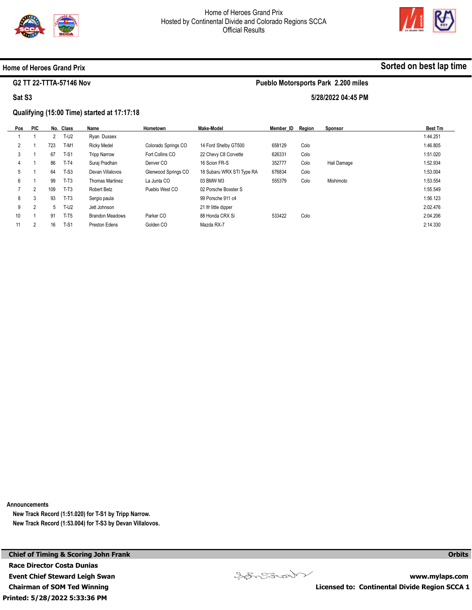



#### Home of Heroes Grand Prix

#### G2 TT 22-TTTA-57146 Nov

Sat S3

# Qualifying (15:00 Time) started at 17:17:18

| Pos            | <b>PIC</b>     |     | No. Class   | Name                   | Hometown            | Make-Model                | Member ID | Region | <b>Sponsor</b> | <b>Best Tm</b> |
|----------------|----------------|-----|-------------|------------------------|---------------------|---------------------------|-----------|--------|----------------|----------------|
|                |                |     | <b>T-U2</b> | Ryan Dussex            |                     |                           |           |        |                | 1:44.251       |
| $\overline{2}$ |                | 723 | T-M1        | <b>Ricky Medel</b>     | Colorado Springs CO | 14 Ford Shelby GT500      | 658129    | Colo   |                | 1:46.805       |
| 3              |                | 67  | $T-S1$      | <b>Tripp Narrow</b>    | Fort Collins CO     | 22 Chevy C8 Corvette      | 626331    | Colo   |                | 1:51.020       |
| 4              |                | 86  | $T-T4$      | Suraj Pradhan          | Denver CO           | 16 Scion FR-S             | 352777    | Colo   | Hail Damage    | 1:52.934       |
| 5              |                | 64  | $T-S3$      | Devan Villalovos       | Glenwood Springs CO | 18 Subaru WRX STI Type RA | 676834    | Colo   |                | 1:53.004       |
| 6              |                | 99  | $T-T3$      | Thomas Martinez        | La Junta CO         | 03 BMW M3                 | 555379    | Colo   | Mishimoto      | 1:53.554       |
|                | $\overline{2}$ | 109 | $T-T3$      | Robert Betz            | Pueblo West CO      | 02 Porsche Boxster S      |           |        |                | 1:55.549       |
| 8              | 3              | 93  | $T-T3$      | Sergio paula           |                     | 99 Porsche 911 c4         |           |        |                | 1:56.123       |
| 9              | $\overline{2}$ | 5   | $T-U2$      | Jett Johnson           |                     | 21 Ifr little dipper      |           |        |                | 2:02.476       |
| 10             |                | 91  | $T-T5$      | <b>Brandon Meadows</b> | Parker CO           | 88 Honda CRX Si           | 533422    | Colo   |                | 2:04.206       |
| 11             | c              | 16  | $T-S1$      | Preston Edens          | Golden CO           | Mazda RX-7                |           |        |                | 2:14.330       |

Announcements

New Track Record (1:51.020) for T-S1 by Tripp Narrow. New Track Record (1:53.004) for T-S3 by Devan Villalovos.

Printed: 5/28/2022 5:33:36 PM Chief of Timing & Scoring John Frank Race Director Costa Dunias Event Chief Steward Leigh Swan Chairman of SOM Ted Winning

www.mylaps.com Licensed to: Continental Divide Region SCCA 1

**Orbits** 



Sorted on best lap time

# Pueblo Motorsports Park 2.200 miles

5/28/2022 04:45 PM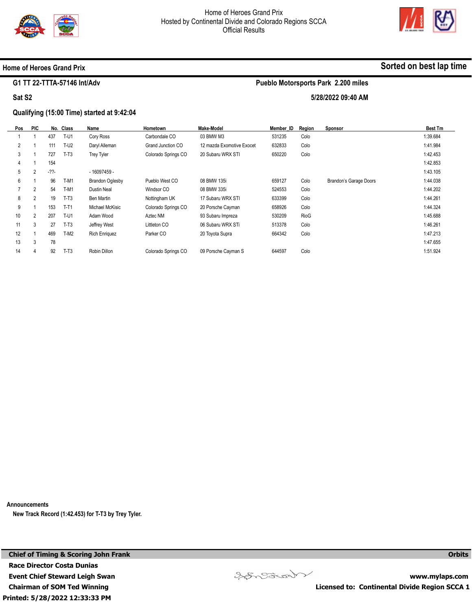



#### Home of Heroes Grand Prix

#### G1 TT 22-TTTA-57146 Int/Adv

Sat S2

#### Qualifying (15:00 Time) started at 9:42:04

| Pos            | <b>PIC</b> |        | No. Class | Name                   | <b>Hometown</b>     | <b>Make-Model</b>         | Member ID | Region | Sponsor                | <b>Best Tm</b> |
|----------------|------------|--------|-----------|------------------------|---------------------|---------------------------|-----------|--------|------------------------|----------------|
|                |            | 437    | T-U1      | Cory Ross              | Carbondale CO       | 03 BMW M3                 | 531235    | Colo   |                        | 1:39.684       |
| $\overline{2}$ |            | 111    | $T-U2$    | Daryl Alleman          | Grand Junction CO   | 12 mazda Exomotive Exocet | 632833    | Colo   |                        | 1:41.984       |
| 3              |            | 727    | $T-T3$    | <b>Trey Tyler</b>      | Colorado Springs CO | 20 Subaru WRX STI         | 650220    | Colo   |                        | 1:42.453       |
| 4              |            | 154    |           |                        |                     |                           |           |        |                        | 1:42.853       |
| 5              | 2          | $-22-$ |           | - 16097459 -           |                     |                           |           |        |                        | 1:43.105       |
| 6              |            | 96     | T-M1      | <b>Brandon Oglesby</b> | Pueblo West CO      | 08 BMW 135i               | 659127    | Colo   | Brandon's Garage Doors | 1:44.038       |
|                | 2          | 54     | $T-M1$    | Dustin Neal            | Windsor CO          | 08 BMW 335i               | 524553    | Colo   |                        | 1:44.202       |
| 8              | 2          | 19     | $T-T3$    | Ben Martin             | Nottingham UK       | 17 Subaru WRX STI         | 633399    | Colo   |                        | 1:44.261       |
| 9              |            | 153    | $T-T1$    | Michael McKisic        | Colorado Springs CO | 20 Porsche Cayman         | 658926    | Colo   |                        | 1:44.324       |
| 10             | 2          | 207    | $T-U1$    | Adam Wood              | Aztec NM            | 93 Subaru Impreza         | 530209    | RioG   |                        | 1:45.688       |
| 11             | 3          | 27     | $T-T3$    | Jeffrey West           | Littleton CO        | 06 Subaru WRX STi         | 513378    | Colo   |                        | 1:46.261       |
| 12             |            | 469    | $T-M2$    | <b>Rich Enriquez</b>   | Parker CO           | 20 Toyota Supra           | 664342    | Colo   |                        | 1:47.213       |
| 13             | 3          | 78     |           |                        |                     |                           |           |        |                        | 1:47.655       |
| 14             | 4          | 92     | $T-T3$    | Robin Dillon           | Colorado Springs CO | 09 Porsche Cayman S       | 644597    | Colo   |                        | 1:51.924       |

Announcements

New Track Record (1:42.453) for T-T3 by Trey Tyler.

Printed: 5/28/2022 12:33:33 PM Chief of Timing & Scoring John Frank Race Director Costa Dunias Event Chief Steward Leigh Swan Chairman of SOM Ted Winning



Sorted on best lap time

5/28/2022 09:40 AM

Pueblo Motorsports Park 2.200 miles

**Orbits** 

www.mylaps.com Licensed to: Continental Divide Region SCCA 1